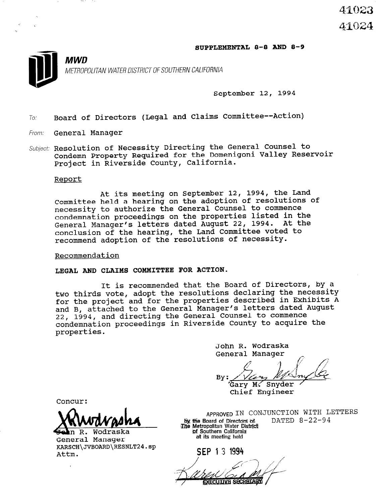## SUPPLEMENTAL 8-0 AND 8-9



METROPOLITAN WATER DISTRICT OF SOUTHERN CALIFORNIA

September 12, 1994

 $7o:$  Board of Directors (Legal and Claims Committee--Action)

From: **General Manager** 

**MWD** 

Subject: Resolution of Necessity Directing the General Counsel to Condemn Property Required for the Domenigoni Valley Reservo Project in Riverside County, California.

## Report

At its meeting on September 12, 1994, the Land Committee held a hearing on the adoption of resolutions of necessity to authorize the General Counsel to commence condemnation proceedings on the properties listed in the General Manager's letters dated August 22, 1994. At the conclusion of the hearing, the Land Committee voted to recommend adoption of the resolutions of necessity.

Recommendation

## LEGAL AND CLAIMS COMMITTEE FOR ACTION.

It is recommended that the Board of Directors, by a two thirds vote, adopt the resolutions declaring the necessity for the project and for the properties described in Exhibits A and B, attached to the General Manager's letters dated August 22, 1994, and directing the General Counsel to commence condemnation proceedings in Riverside County to acquire the properties.

> John R. Wodraska General Manager

By: Gary M. Snyder

Chief Engineer

Concur:

**r**  $\Lambda$  **i i** and the summer in conjunction with LETTERS

<del>ge</del>n k. woaras n R. Wodraska KARSCH\JVBOARD\-RESNLT24.sp KARS(<br>.........

APPROVED IN CONJUNCIION WITH by the Board of Directors of.<br>The Metropolitan Water District f Southern California

SEP 1 3 1994 **EXECUTIVE SECRETARY**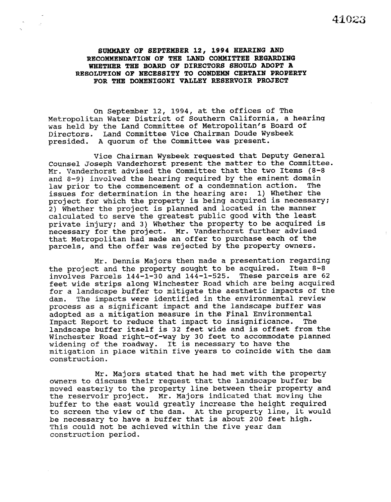SUMMARY OF SEPTEMBER 12, 1994 BEARING AND RECOMMENDATION OF THE LAND COMMITTEE REGARDING WHETHER THE BOARD OF DIRECTORS SHOULD ADOPT A RESOLUTION OF NECESSITY TO CONDEMN CERTAIN PROPERTY FOR THE DOMENIGONI VALLEY RESERVOIR PROJECT

On September 12, 1994, at the offices of The Metropolitan Water District of Southern California, a hearing was held by the Land Committee of Metropolitan's Board of Directors. Land Committee Vice Chairman Doude Wysbeek presided. A quorum of the Committee was present.

Vice Chairman Wysbeek requested that Deputy General Counsel Joseph Vanderhorst present the matter to the Committee. Mr. Vanderhorst advised the Committee that the two Items (8-8 and 8-9) involved the hearing required by the eminent domain law prior to the commencement of a condemnation action. The issues for determination in the hearing are: 1) Whether the project for which the property is being acquired is necessary: 2) Whether the project is planned and located in the manner calculated to serve the greatest public good with the least private injury: and 3) Whether the property to be acquired is necessary for the project. Mr. Vanderhorst further advise that Metropolitan had made an offer to purchase each of the parcels, and the offer was rejected by the property owners.

Mr. Dennis Majors then made a presentation regarding the project and the property sought to be acquired. Item 8-8 involves Parcels 144-l-30 and 144-1-525. These parcels are 62 feet wide strips along Winchester Road which are being acquired for a landscape buffer to mitigate the aesthetic impacts of the dam. The impacts were identified in the environmental review process as a significant impact and the landscape buffer was adopted as a mitigation measure in the Final Environmental Impact Report to reduce that impact to insignificance. The landscape buffer itself is 32 feet wide and is offset from the Winchester Road right-of-way by 30 feet to accommodate planned widening of the roadway. It is necessary to have the mitigation in place within five years to coincide with the dam construction.

Mr. Majors stated that he had met with the property owners to discuss their request that the landscape buffer be moved easterly to the property line between their property and the reservoir project. Mr. Majors indicated that moving the buffer to the east would greatly increase the height required to screen the view of the dam. At the property line, it would be necessary to have a buffer that is about 200 feet high. This could not be achieved within the five year dam construction period.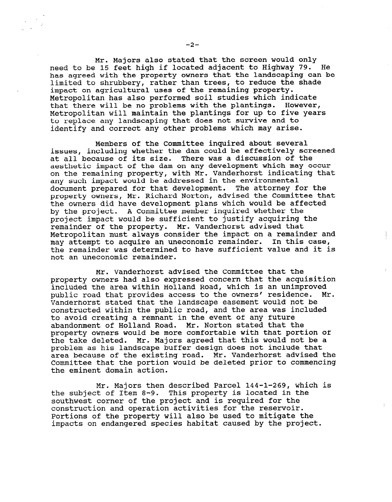Mr. Majors also stated that the screen would only need to be 15 feet high if located adjacent to Highway 79. He has agreed with the property owners that the landscaping can be limited to shrubbery, rather than trees, to reduce the shade impact on agricultural uses of the remaining property. Metropolitan has also performed soil studies which indicate that there will be no problems with the plantings. However, Metropolitan will maintain the plantings for up to five years to replace any landscaping that does not survive and to identify and correct any other problems which may arise.

Members of the Committee inquired about several issues, including whether the dam could be effectively screened at all because of its size. There was a discussion of the aesthetic impact of the dam on any development which may occur on the remaining property, with Mr. Vanderhorst indicating that any such impact would be addressed in the environmental document prepared for that development. The attorney for the property owners, Mr. Richard Norton, advised the Committee that the owners did have development plans which would be affected by the project. A Committee member inquired whether the project impact would be sufficient to justify acquiring the remainder of the property. Mr. Vanderhorst advised that Metropolitan must always consider the impact on a remainder and may attempt to acquire an uneconomic remainder. In this case, the remainder was determined to have sufficient value and it is not an uneconomic remainder.

Mr. Vanderhorst advised the Committee that the property owners had also expressed concern that the acquisition included the area within Holland Road, which is an unimproved public road that provides access to the owners' residence. Mr. Vanderhorst stated that the landscape easement would not be constructed within the public road, and the area was included to avoid creating a remnant in the event of any future abandonment of Holland Road. Mr. Norton stated that the property owners would be more comfortable with that portion of the take deleted. Mr. Majors agreed that this would not be a problem as his landscape buffer design does not include that area because of the existing road. Mr. Vanderhorst advised the Committee that the portion would be deleted prior to commencing the eminent domain action.

Mr. Majors then described Parcel 144-1-269, which is the subject of Item 8-9. This property is located in the southwest corner of the project and is required for the construction and operation activities for the reservoir. Portions of the property will also be used to mitigate the impacts on endangered species habitat caused by the project.